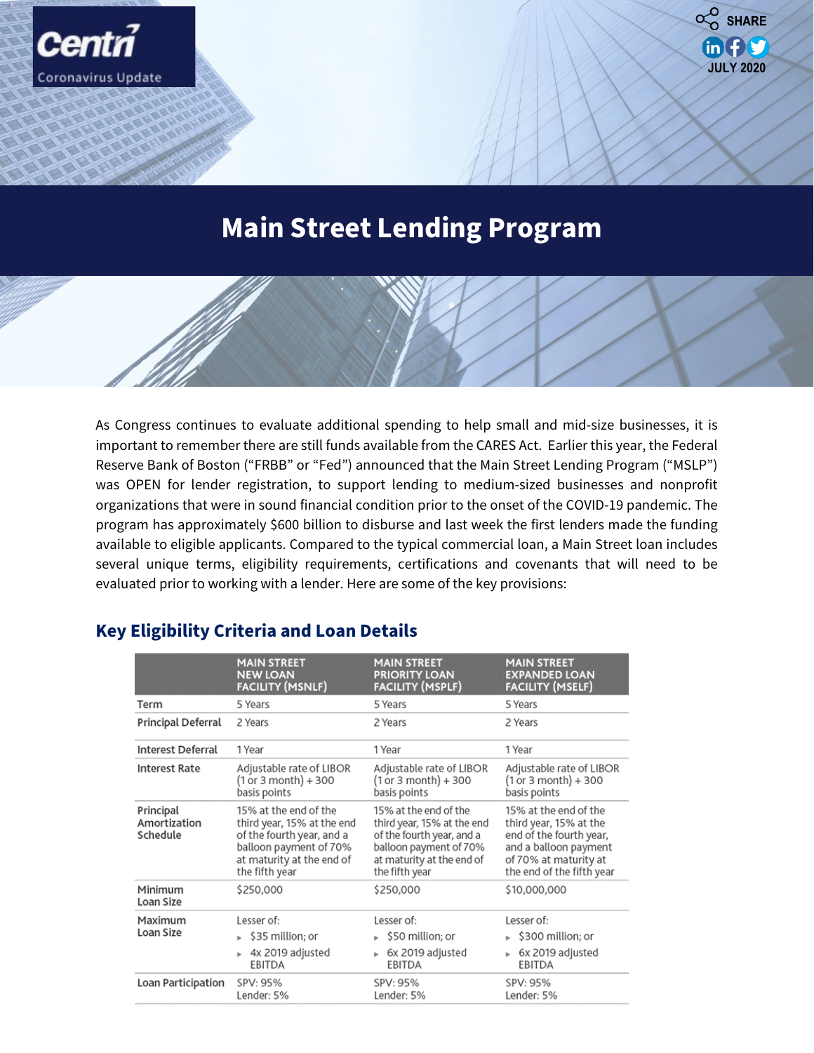

**JULY 2020**

 $in  $f(x)$$ 

 $\alpha$ <sup>O</sup> SHARE

**Accounting, Reporting and Other Related Co**

As Congress continues to evaluate additional spending to help small and mid-size businesses, it is important to remember there are still funds available from the CARES Act. Earlier this year, the Federal Reserve Bank of Boston ("FRBB" or "Fed") announced that the Main Street Lending Program ("MSLP") was OPEN for lender registration, to support lending to medium-sized businesses and nonprofit organizations that were in sound financial condition prior to the onset of the COVID-19 pandemic. The program has approximately \$600 billion to disburse and last week the first lenders made the funding available to eligible applicants. Compared to the typical commercial loan, a Main Street loan includes several unique terms, eligibility requirements, certifications and covenants that will need to be evaluated prior to working with a lender. Here are some of the key provisions:

|                                       | <b>MAIN STREET</b><br><b>NEW LOAN</b><br><b>FACILITY (MSNLF)</b>                                                                                          | <b>MAIN STREET</b><br><b>PRIORITY LOAN</b><br><b>FACILITY (MSPLF)</b>                                                                                     | <b>MAIN STREET</b><br><b>EXPANDED LOAN</b><br><b>FACILITY (MSELF)</b>                                                                                     |
|---------------------------------------|-----------------------------------------------------------------------------------------------------------------------------------------------------------|-----------------------------------------------------------------------------------------------------------------------------------------------------------|-----------------------------------------------------------------------------------------------------------------------------------------------------------|
| Term                                  | 5 Years                                                                                                                                                   | 5 Years                                                                                                                                                   | 5 Years                                                                                                                                                   |
| Principal Deferral                    | 2 Years                                                                                                                                                   | 2 Years                                                                                                                                                   | 2 Years                                                                                                                                                   |
| Interest Deferral                     | 1 Year                                                                                                                                                    | 1 Year                                                                                                                                                    | 1 Year                                                                                                                                                    |
| <b>Interest Rate</b>                  | Adjustable rate of LIBOR<br>(1 or 3 month) + 300<br>basis points                                                                                          | Adjustable rate of LIBOR<br>$(1 or 3 month) + 300$<br>basis points                                                                                        | Adjustable rate of LIBOR<br>$(1 or 3 month) + 300$<br>basis points                                                                                        |
| Principal<br>Amortization<br>Schedule | 15% at the end of the<br>third year, 15% at the end<br>of the fourth year, and a<br>balloon payment of 70%<br>at maturity at the end of<br>the fifth year | 15% at the end of the<br>third year, 15% at the end<br>of the fourth year, and a<br>balloon payment of 70%<br>at maturity at the end of<br>the fifth year | 15% at the end of the<br>third year, 15% at the<br>end of the fourth year,<br>and a balloon payment<br>of 70% at maturity at<br>the end of the fifth year |
| Minimum<br>Loan Size                  | \$250,000                                                                                                                                                 | \$250,000                                                                                                                                                 | \$10,000,000                                                                                                                                              |
| Maximum<br>Loan Size                  | Lesser of:<br>$\triangleright$ \$35 million; or<br>4x 2019 adjusted<br>EBITDA                                                                             | Lesser of:<br>$\triangleright$ \$50 million; or<br>6x 2019 adjusted<br>EBITDA                                                                             | Lesser of:<br>$\blacktriangleright$ \$300 million; or<br>6x 2019 adjusted<br>EBITDA                                                                       |
| Loan Participation                    | SPV: 95%<br>Lender: 5%                                                                                                                                    | SPV: 95%<br>Lender: 5%                                                                                                                                    | SPV: 95%<br>Lender: 5%                                                                                                                                    |

# **Key Eligibility Criteria and Loan Details**

**Coronavirus Update**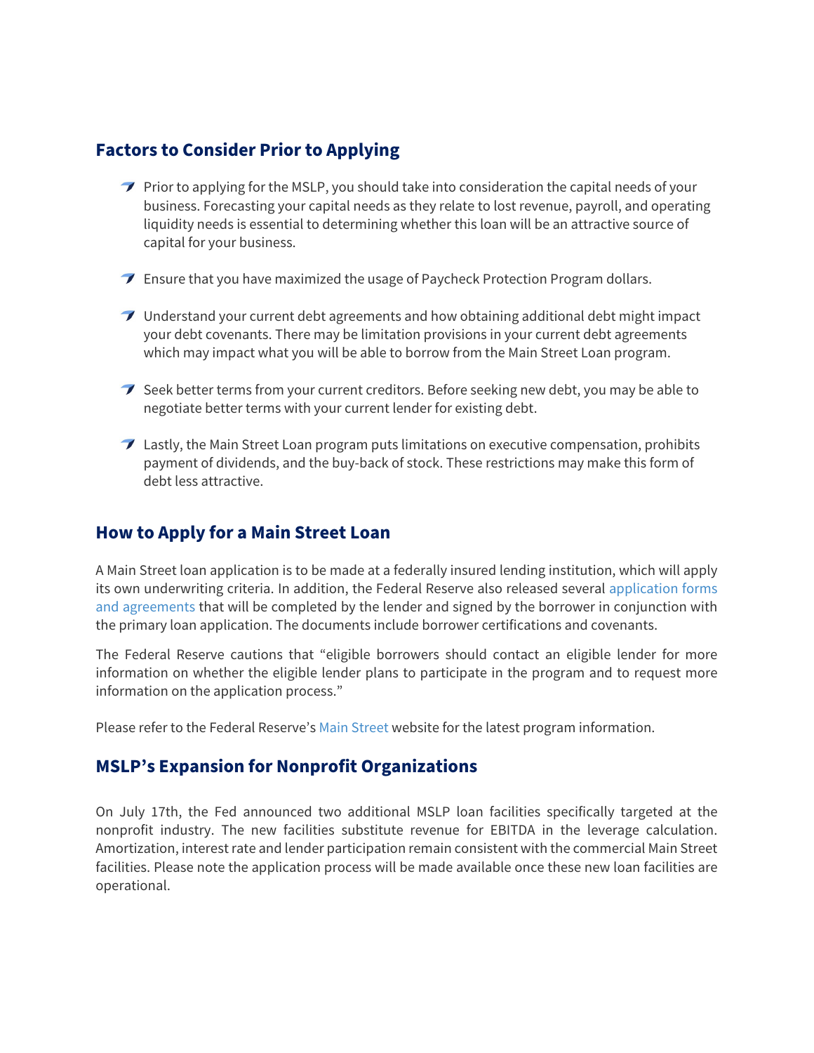### **Factors to Consider Prior to Applying**

- $\rightarrow$  Prior to applying for the MSLP, you should take into consideration the capital needs of your business. Forecasting your capital needs as they relate to lost revenue, payroll, and operating liquidity needs is essential to determining whether this loan will be an attractive source of capital for your business.
- **Ensure that you have maximized the usage of Paycheck Protection Program dollars.**
- $\rightarrow$  Understand your current debt agreements and how obtaining additional debt might impact your debt covenants. There may be limitation provisions in your current debt agreements which may impact what you will be able to borrow from the Main Street Loan program.
- $\mathcal I$  Seek better terms from your current creditors. Before seeking new debt, you may be able to negotiate better terms with your current lender for existing debt.
- $\mathcal I$  Lastly, the Main Street Loan program puts limitations on executive compensation, prohibits payment of dividends, and the buy-back of stock. These restrictions may make this form of debt less attractive.

## **How to Apply for a Main Street Loan**

A Main Street loan application is to be made at a federally insured lending institution, which will apply its own underwriting criteria. In addition, the Federal Reserve also released several [application forms](https://www.bostonfed.org/supervision-and-regulation/supervision/special-facilities/main-street-lending-program/information-for-lenders/docs.aspx?utm_source=email-alert&utm_medium=email&utm_campaign=mslp&utm_content=nc200527)  [and agreements](https://www.bostonfed.org/supervision-and-regulation/supervision/special-facilities/main-street-lending-program/information-for-lenders/docs.aspx?utm_source=email-alert&utm_medium=email&utm_campaign=mslp&utm_content=nc200527) that will be completed by the lender and signed by the borrower in conjunction with the primary loan application. The documents include borrower certifications and covenants.

The Federal Reserve cautions that "eligible borrowers should contact an eligible lender for more information on whether the eligible lender plans to participate in the program and to request more information on the application process."

Please refer to the Federal Reserve's [Main Street](https://www.federalreserve.gov/monetarypolicy/mainstreetlending.htm) website for the latest program information.

#### **MSLP's Expansion for Nonprofit Organizations**

On July 17th, the Fed announced two additional MSLP loan facilities specifically targeted at the nonprofit industry. The new facilities substitute revenue for EBITDA in the leverage calculation. Amortization, interest rate and lender participation remain consistent with the commercial Main Street facilities. Please note the application process will be made available once these new loan facilities are operational.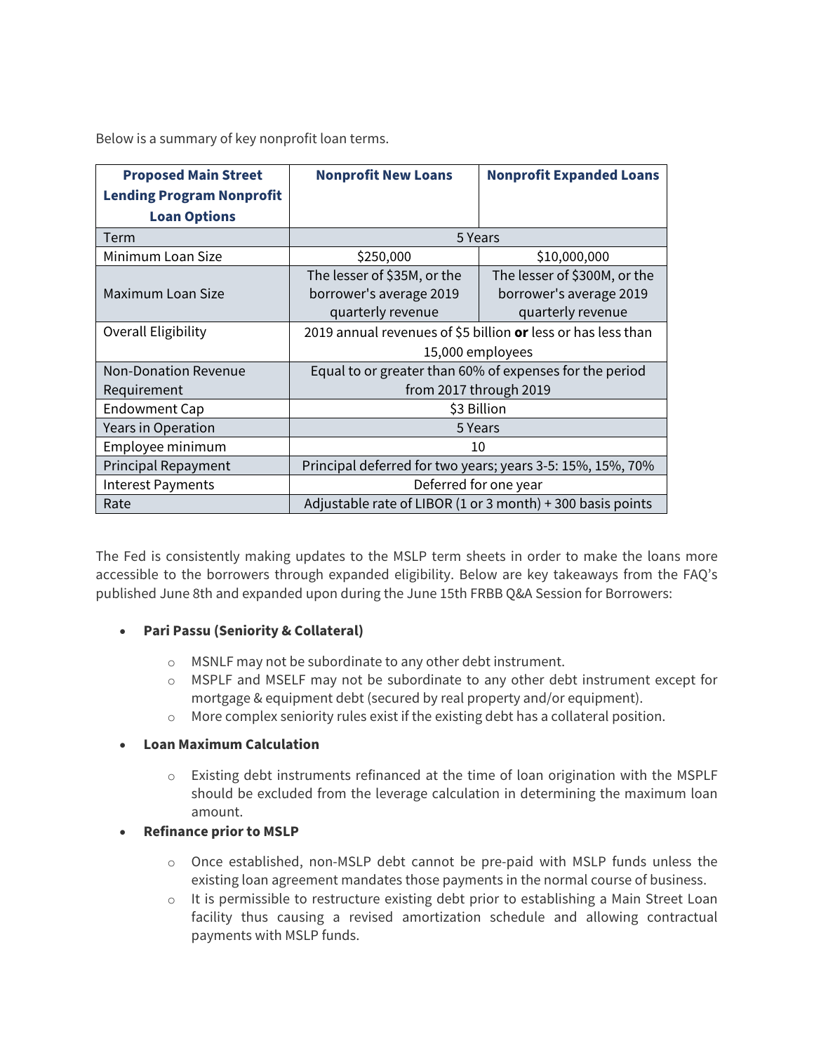Below is a summary of key nonprofit loan terms.

| <b>Proposed Main Street</b>      | <b>Nonprofit New Loans</b>                                   | <b>Nonprofit Expanded Loans</b> |  |
|----------------------------------|--------------------------------------------------------------|---------------------------------|--|
| <b>Lending Program Nonprofit</b> |                                                              |                                 |  |
| <b>Loan Options</b>              |                                                              |                                 |  |
| <b>Term</b>                      | 5 Years                                                      |                                 |  |
| Minimum Loan Size                | \$250,000                                                    | \$10,000,000                    |  |
|                                  | The lesser of \$35M, or the                                  | The lesser of \$300M, or the    |  |
| Maximum Loan Size                | borrower's average 2019                                      | borrower's average 2019         |  |
|                                  | quarterly revenue                                            | quarterly revenue               |  |
| Overall Eligibility              | 2019 annual revenues of \$5 billion or less or has less than |                                 |  |
|                                  | 15,000 employees                                             |                                 |  |
| <b>Non-Donation Revenue</b>      | Equal to or greater than 60% of expenses for the period      |                                 |  |
| Requirement                      | from 2017 through 2019                                       |                                 |  |
| <b>Endowment Cap</b>             | \$3 Billion                                                  |                                 |  |
| <b>Years in Operation</b>        | 5 Years                                                      |                                 |  |
| Employee minimum                 | 10                                                           |                                 |  |
| <b>Principal Repayment</b>       | Principal deferred for two years; years 3-5: 15%, 15%, 70%   |                                 |  |
| <b>Interest Payments</b>         | Deferred for one year                                        |                                 |  |
| Rate                             | Adjustable rate of LIBOR $(1 or 3 month) + 300$ basis points |                                 |  |

The Fed is consistently making updates to the MSLP term sheets in order to make the loans more accessible to the borrowers through expanded eligibility. Below are key takeaways from the FAQ's published June 8th and expanded upon during the June 15th FRBB Q&A Session for Borrowers:

- **Pari Passu (Seniority & Collateral)** 
	- o MSNLF may not be subordinate to any other debt instrument.
	- $\circ$  MSPLF and MSELF may not be subordinate to any other debt instrument except for mortgage & equipment debt (secured by real property and/or equipment).
	- o More complex seniority rules exist if the existing debt has a collateral position.

#### • **Loan Maximum Calculation**

- $\circ$  Existing debt instruments refinanced at the time of loan origination with the MSPLF should be excluded from the leverage calculation in determining the maximum loan amount.
- **Refinance prior to MSLP** 
	- o Once established, non-MSLP debt cannot be pre-paid with MSLP funds unless the existing loan agreement mandates those payments in the normal course of business.
	- o It is permissible to restructure existing debt prior to establishing a Main Street Loan facility thus causing a revised amortization schedule and allowing contractual payments with MSLP funds.